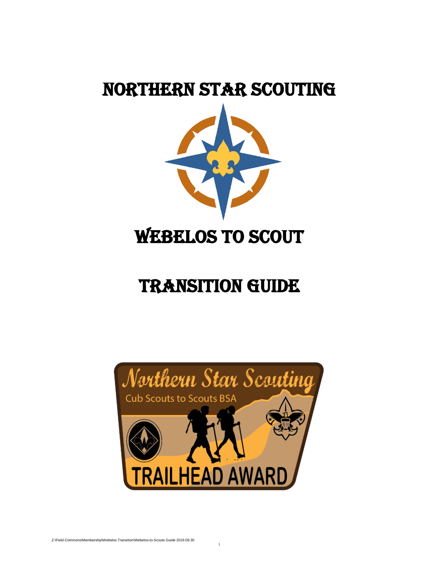# Northern Star Scouting



# TRANSITION Guide



1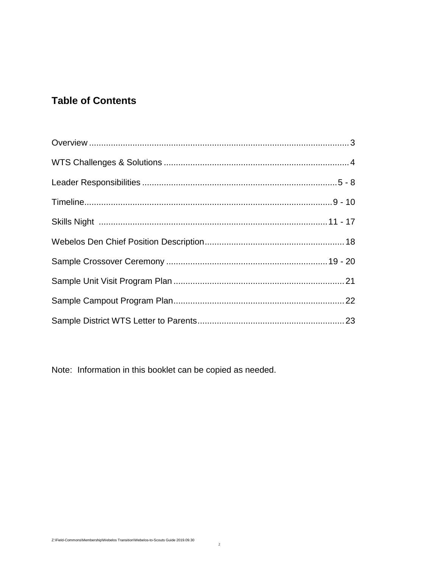### **Table of Contents**

Note: Information in this booklet can be copied as needed.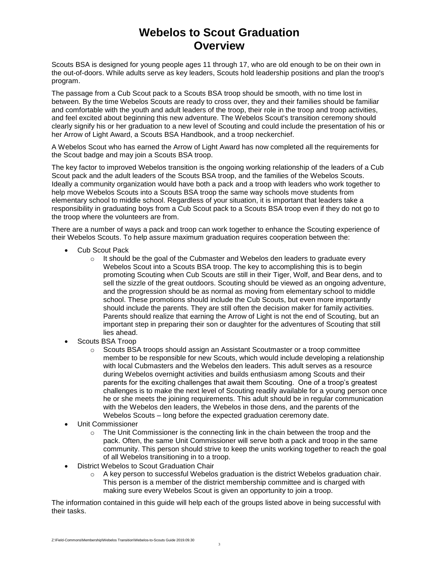# **Webelos to Scout Graduation Overview**

Scouts BSA is designed for young people ages 11 through 17, who are old enough to be on their own in the out-of-doors. While adults serve as key leaders, Scouts hold leadership positions and plan the troop's program.

The passage from a Cub Scout pack to a Scouts BSA troop should be smooth, with no time lost in between. By the time Webelos Scouts are ready to cross over, they and their families should be familiar and comfortable with the youth and adult leaders of the troop, their role in the troop and troop activities, and feel excited about beginning this new adventure. The Webelos Scout's transition ceremony should clearly signify his or her graduation to a new level of Scouting and could include the presentation of his or her Arrow of Light Award, a Scouts BSA Handbook, and a troop neckerchief.

A Webelos Scout who has earned the Arrow of Light Award has now completed all the requirements for the Scout badge and may join a Scouts BSA troop.

The key factor to improved Webelos transition is the ongoing working relationship of the leaders of a Cub Scout pack and the adult leaders of the Scouts BSA troop, and the families of the Webelos Scouts. Ideally a community organization would have both a pack and a troop with leaders who work together to help move Webelos Scouts into a Scouts BSA troop the same way schools move students from elementary school to middle school. Regardless of your situation, it is important that leaders take a responsibility in graduating boys from a Cub Scout pack to a Scouts BSA troop even if they do not go to the troop where the volunteers are from.

There are a number of ways a pack and troop can work together to enhance the Scouting experience of their Webelos Scouts. To help assure maximum graduation requires cooperation between the:

- Cub Scout Pack
	- $\circ$  It should be the goal of the Cubmaster and Webelos den leaders to graduate every Webelos Scout into a Scouts BSA troop. The key to accomplishing this is to begin promoting Scouting when Cub Scouts are still in their Tiger, Wolf, and Bear dens, and to sell the sizzle of the great outdoors. Scouting should be viewed as an ongoing adventure, and the progression should be as normal as moving from elementary school to middle school. These promotions should include the Cub Scouts, but even more importantly should include the parents. They are still often the decision maker for family activities. Parents should realize that earning the Arrow of Light is not the end of Scouting, but an important step in preparing their son or daughter for the adventures of Scouting that still lies ahead.
- Scouts BSA Troop
	- $\circ$  Scouts BSA troops should assign an Assistant Scoutmaster or a troop committee member to be responsible for new Scouts, which would include developing a relationship with local Cubmasters and the Webelos den leaders. This adult serves as a resource during Webelos overnight activities and builds enthusiasm among Scouts and their parents for the exciting challenges that await them Scouting. One of a troop's greatest challenges is to make the next level of Scouting readily available for a young person once he or she meets the joining requirements. This adult should be in regular communication with the Webelos den leaders, the Webelos in those dens, and the parents of the Webelos Scouts – long before the expected graduation ceremony date.
- Unit Commissioner
	- $\circ$  The Unit Commissioner is the connecting link in the chain between the troop and the pack. Often, the same Unit Commissioner will serve both a pack and troop in the same community. This person should strive to keep the units working together to reach the goal of all Webelos transitioning in to a troop.
- District Webelos to Scout Graduation Chair
	- $\circ$  A key person to successful Webelos graduation is the district Webelos graduation chair. This person is a member of the district membership committee and is charged with making sure every Webelos Scout is given an opportunity to join a troop.

The information contained in this guide will help each of the groups listed above in being successful with their tasks.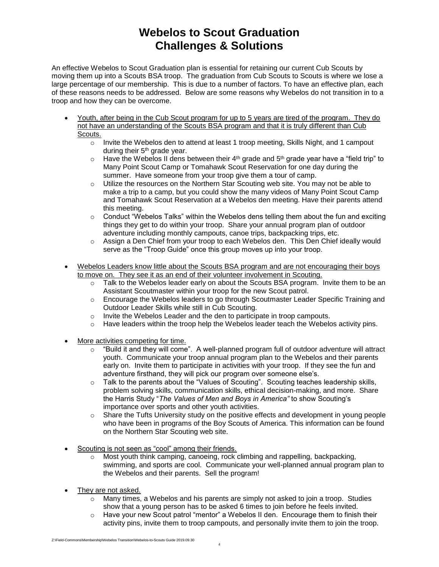# **Webelos to Scout Graduation Challenges & Solutions**

An effective Webelos to Scout Graduation plan is essential for retaining our current Cub Scouts by moving them up into a Scouts BSA troop. The graduation from Cub Scouts to Scouts is where we lose a large percentage of our membership. This is due to a number of factors. To have an effective plan, each of these reasons needs to be addressed. Below are some reasons why Webelos do not transition in to a troop and how they can be overcome.

- Youth, after being in the Cub Scout program for up to 5 years are tired of the program. They do not have an understanding of the Scouts BSA program and that it is truly different than Cub Scouts.
	- o Invite the Webelos den to attend at least 1 troop meeting, Skills Night, and 1 campout during their 5<sup>th</sup> grade year.
	- $\circ$  Have the Webelos II dens between their 4<sup>th</sup> grade and 5<sup>th</sup> grade year have a "field trip" to Many Point Scout Camp or Tomahawk Scout Reservation for one day during the summer. Have someone from your troop give them a tour of camp.
	- $\circ$  Utilize the resources on the Northern Star Scouting web site. You may not be able to make a trip to a camp, but you could show the many videos of Many Point Scout Camp and Tomahawk Scout Reservation at a Webelos den meeting. Have their parents attend this meeting.
	- $\circ$  Conduct "Webelos Talks" within the Webelos dens telling them about the fun and exciting things they get to do within your troop. Share your annual program plan of outdoor adventure including monthly campouts, canoe trips, backpacking trips, etc.
	- o Assign a Den Chief from your troop to each Webelos den. This Den Chief ideally would serve as the "Troop Guide" once this group moves up into your troop.
- Webelos Leaders know little about the Scouts BSA program and are not encouraging their boys to move on. They see it as an end of their volunteer involvement in Scouting.
	- o Talk to the Webelos leader early on about the Scouts BSA program. Invite them to be an Assistant Scoutmaster within your troop for the new Scout patrol.
	- o Encourage the Webelos leaders to go through Scoutmaster Leader Specific Training and Outdoor Leader Skills while still in Cub Scouting.
	- o Invite the Webelos Leader and the den to participate in troop campouts.
	- $\circ$  Have leaders within the troop help the Webelos leader teach the Webelos activity pins.
- More activities competing for time.
	- $\circ$  "Build it and they will come". A well-planned program full of outdoor adventure will attract youth. Communicate your troop annual program plan to the Webelos and their parents early on. Invite them to participate in activities with your troop. If they see the fun and adventure firsthand, they will pick our program over someone else's.
	- o Talk to the parents about the "Values of Scouting". Scouting teaches leadership skills, problem solving skills, communication skills, ethical decision-making, and more. Share the Harris Study "*The Values of Men and Boys in America"* to show Scouting's importance over sports and other youth activities.
	- o Share the Tufts University study on the positive effects and development in young people who have been in programs of the Boy Scouts of America. This information can be found on the Northern Star Scouting web site.
- Scouting is not seen as "cool" among their friends.
	- o Most youth think camping, canoeing, rock climbing and rappelling, backpacking, swimming, and sports are cool. Communicate your well-planned annual program plan to the Webelos and their parents. Sell the program!
- They are not asked.
	- $\circ$  Many times, a Webelos and his parents are simply not asked to join a troop. Studies show that a young person has to be asked 6 times to join before he feels invited.
	- $\circ$  Have your new Scout patrol "mentor" a Webelos II den. Encourage them to finish their activity pins, invite them to troop campouts, and personally invite them to join the troop.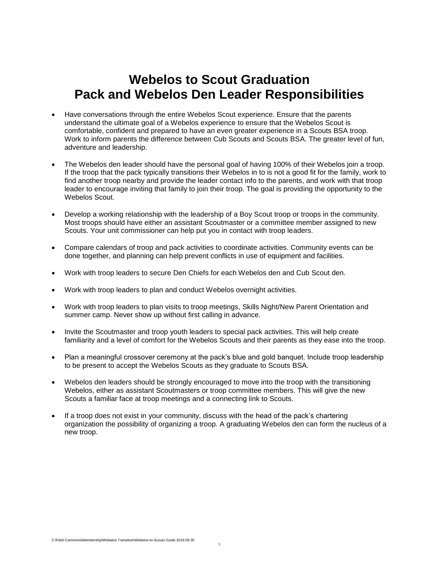# **Webelos to Scout Graduation Pack and Webelos Den Leader Responsibilities**

- Have conversations through the entire Webelos Scout experience. Ensure that the parents understand the ultimate goal of a Webelos experience to ensure that the Webelos Scout is comfortable, confident and prepared to have an even greater experience in a Scouts BSA troop. Work to inform parents the difference between Cub Scouts and Scouts BSA. The greater level of fun, adventure and leadership.
- The Webelos den leader should have the personal goal of having 100% of their Webelos join a troop. If the troop that the pack typically transitions their Webelos in to is not a good fit for the family, work to find another troop nearby and provide the leader contact info to the parents, and work with that troop leader to encourage inviting that family to join their troop. The goal is providing the opportunity to the Webelos Scout.
- Develop a working relationship with the leadership of a Boy Scout troop or troops in the community. Most troops should have either an assistant Scoutmaster or a committee member assigned to new Scouts. Your unit commissioner can help put you in contact with troop leaders.
- Compare calendars of troop and pack activities to coordinate activities. Community events can be done together, and planning can help prevent conflicts in use of equipment and facilities.
- Work with troop leaders to secure Den Chiefs for each Webelos den and Cub Scout den.
- Work with troop leaders to plan and conduct Webelos overnight activities.
- Work with troop leaders to plan visits to troop meetings, Skills Night/New Parent Orientation and summer camp. Never show up without first calling in advance.
- Invite the Scoutmaster and troop youth leaders to special pack activities. This will help create familiarity and a level of comfort for the Webelos Scouts and their parents as they ease into the troop.
- Plan a meaningful crossover ceremony at the pack's blue and gold banquet. Include troop leadership to be present to accept the Webelos Scouts as they graduate to Scouts BSA.
- Webelos den leaders should be strongly encouraged to move into the troop with the transitioning Webelos, either as assistant Scoutmasters or troop committee members. This will give the new Scouts a familiar face at troop meetings and a connecting link to Scouts.
- If a troop does not exist in your community, discuss with the head of the pack's chartering organization the possibility of organizing a troop. A graduating Webelos den can form the nucleus of a new troop.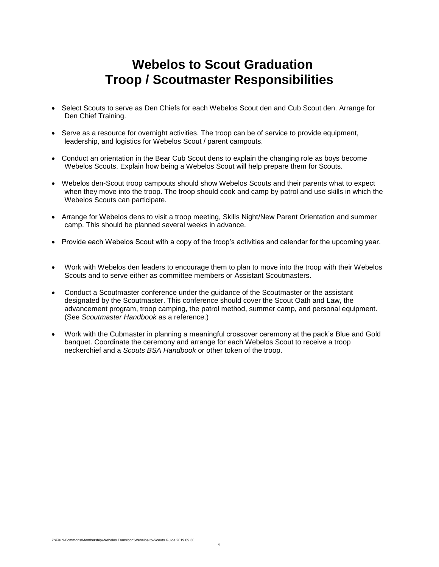# **Webelos to Scout Graduation Troop / Scoutmaster Responsibilities**

- Select Scouts to serve as Den Chiefs for each Webelos Scout den and Cub Scout den. Arrange for Den Chief Training.
- Serve as a resource for overnight activities. The troop can be of service to provide equipment, leadership, and logistics for Webelos Scout / parent campouts.
- Conduct an orientation in the Bear Cub Scout dens to explain the changing role as boys become Webelos Scouts. Explain how being a Webelos Scout will help prepare them for Scouts.
- Webelos den-Scout troop campouts should show Webelos Scouts and their parents what to expect when they move into the troop. The troop should cook and camp by patrol and use skills in which the Webelos Scouts can participate.
- Arrange for Webelos dens to visit a troop meeting, Skills Night/New Parent Orientation and summer camp. This should be planned several weeks in advance.
- Provide each Webelos Scout with a copy of the troop's activities and calendar for the upcoming year.
- Work with Webelos den leaders to encourage them to plan to move into the troop with their Webelos Scouts and to serve either as committee members or Assistant Scoutmasters.
- Conduct a Scoutmaster conference under the guidance of the Scoutmaster or the assistant designated by the Scoutmaster. This conference should cover the Scout Oath and Law, the advancement program, troop camping, the patrol method, summer camp, and personal equipment. (See *Scoutmaster Handbook* as a reference.)
- Work with the Cubmaster in planning a meaningful crossover ceremony at the pack's Blue and Gold banquet. Coordinate the ceremony and arrange for each Webelos Scout to receive a troop neckerchief and a *Scouts BSA Handbook* or other token of the troop.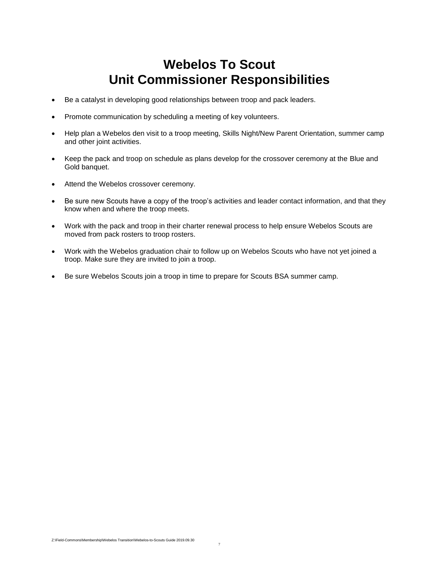# **Webelos To Scout Unit Commissioner Responsibilities**

- Be a catalyst in developing good relationships between troop and pack leaders.
- Promote communication by scheduling a meeting of key volunteers.
- Help plan a Webelos den visit to a troop meeting, Skills Night/New Parent Orientation, summer camp and other joint activities.
- Keep the pack and troop on schedule as plans develop for the crossover ceremony at the Blue and Gold banquet.
- Attend the Webelos crossover ceremony.
- Be sure new Scouts have a copy of the troop's activities and leader contact information, and that they know when and where the troop meets.
- Work with the pack and troop in their charter renewal process to help ensure Webelos Scouts are moved from pack rosters to troop rosters.
- Work with the Webelos graduation chair to follow up on Webelos Scouts who have not yet joined a troop. Make sure they are invited to join a troop.
- Be sure Webelos Scouts join a troop in time to prepare for Scouts BSA summer camp.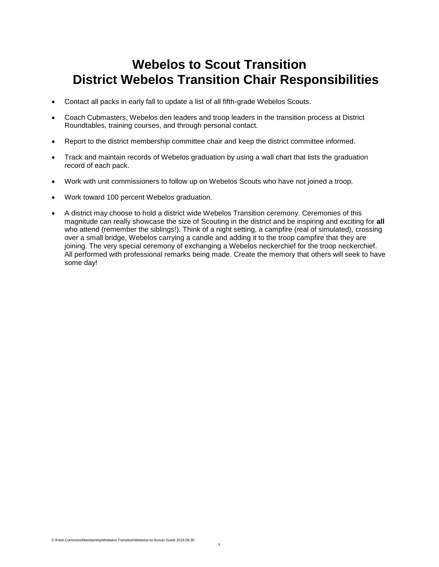# **Webelos to Scout Transition District Webelos Transition Chair Responsibilities**

- Contact all packs in early fall to update a list of all fifth-grade Webelos Scouts.
- Coach Cubmasters, Webelos den leaders and troop leaders in the transition process at District Roundtables, training courses, and through personal contact.
- Report to the district membership committee chair and keep the district committee informed.
- Track and maintain records of Webelos graduation by using a wall chart that lists the graduation record of each pack.
- Work with unit commissioners to follow up on Webelos Scouts who have not joined a troop.
- Work toward 100 percent Webelos graduation.
- A district may choose to hold a district wide Webelos Transition ceremony. Ceremonies of this magnitude can really showcase the size of Scouting in the district and be inspiring and exciting for **all**  who attend (remember the siblings!). Think of a night setting, a campfire (real of simulated), crossing over a small bridge, Webelos carrying a candle and adding it to the troop campfire that they are joining. The very special ceremony of exchanging a Webelos neckerchief for the troop neckerchief. All performed with professional remarks being made. Create the memory that others will seek to have some day!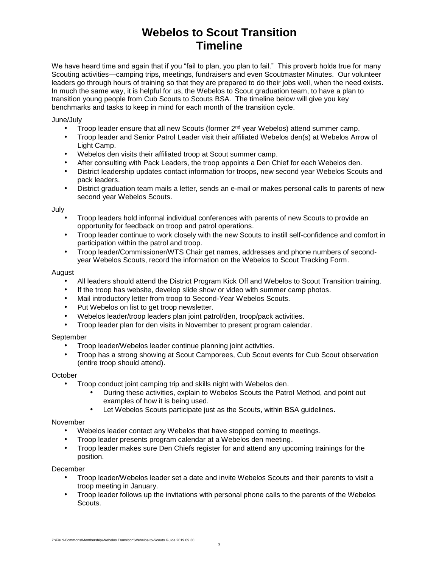# **Webelos to Scout Transition Timeline**

We have heard time and again that if you "fail to plan, you plan to fail." This proverb holds true for many Scouting activities—camping trips, meetings, fundraisers and even Scoutmaster Minutes. Our volunteer leaders go through hours of training so that they are prepared to do their jobs well, when the need exists. In much the same way, it is helpful for us, the Webelos to Scout graduation team, to have a plan to transition young people from Cub Scouts to Scouts BSA. The timeline below will give you key benchmarks and tasks to keep in mind for each month of the transition cycle.

### June/July

- Troop leader ensure that all new Scouts (former  $2<sup>nd</sup>$  year Webelos) attend summer camp.
- Troop leader and Senior Patrol Leader visit their affiliated Webelos den(s) at Webelos Arrow of Light Camp.
- Webelos den visits their affiliated troop at Scout summer camp.
- After consulting with Pack Leaders, the troop appoints a Den Chief for each Webelos den.
- District leadership updates contact information for troops, new second year Webelos Scouts and pack leaders.
- District graduation team mails a letter, sends an e-mail or makes personal calls to parents of new second year Webelos Scouts.

#### **July**

- Troop leaders hold informal individual conferences with parents of new Scouts to provide an opportunity for feedback on troop and patrol operations.
- Troop leader continue to work closely with the new Scouts to instill self-confidence and comfort in participation within the patrol and troop.
- Troop leader/Commissioner/WTS Chair get names, addresses and phone numbers of secondyear Webelos Scouts, record the information on the Webelos to Scout Tracking Form.

#### August

- All leaders should attend the District Program Kick Off and Webelos to Scout Transition training.
- If the troop has website, develop slide show or video with summer camp photos.
- Mail introductory letter from troop to Second-Year Webelos Scouts.
- Put Webelos on list to get troop newsletter.
- Webelos leader/troop leaders plan joint patrol/den, troop/pack activities.
- Troop leader plan for den visits in November to present program calendar.

### September

- Troop leader/Webelos leader continue planning joint activities.
- Troop has a strong showing at Scout Camporees, Cub Scout events for Cub Scout observation (entire troop should attend).

### **October**

- Troop conduct joint camping trip and skills night with Webelos den.
	- During these activities, explain to Webelos Scouts the Patrol Method, and point out examples of how it is being used.
	- Let Webelos Scouts participate just as the Scouts, within BSA guidelines.

### November

- Webelos leader contact any Webelos that have stopped coming to meetings.
- Troop leader presents program calendar at a Webelos den meeting.
- Troop leader makes sure Den Chiefs register for and attend any upcoming trainings for the position.

December

- Troop leader/Webelos leader set a date and invite Webelos Scouts and their parents to visit a troop meeting in January.
- Troop leader follows up the invitations with personal phone calls to the parents of the Webelos Scouts.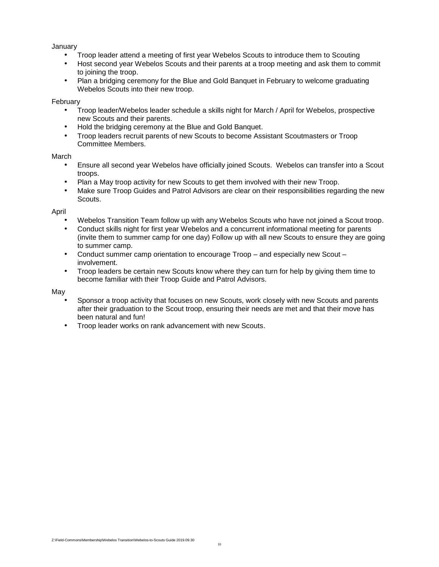### January

- Troop leader attend a meeting of first year Webelos Scouts to introduce them to Scouting
- Host second year Webelos Scouts and their parents at a troop meeting and ask them to commit to joining the troop.
- Plan a bridging ceremony for the Blue and Gold Banquet in February to welcome graduating Webelos Scouts into their new troop.

### February

- Troop leader/Webelos leader schedule a skills night for March / April for Webelos, prospective new Scouts and their parents.
- Hold the bridging ceremony at the Blue and Gold Banquet.
- Troop leaders recruit parents of new Scouts to become Assistant Scoutmasters or Troop Committee Members.

#### March

- Ensure all second year Webelos have officially joined Scouts. Webelos can transfer into a Scout troops.
- Plan a May troop activity for new Scouts to get them involved with their new Troop.
- Make sure Troop Guides and Patrol Advisors are clear on their responsibilities regarding the new Scouts.

#### April

- Webelos Transition Team follow up with any Webelos Scouts who have not joined a Scout troop.
- Conduct skills night for first year Webelos and a concurrent informational meeting for parents (invite them to summer camp for one day) Follow up with all new Scouts to ensure they are going to summer camp.
- Conduct summer camp orientation to encourage Troop and especially new Scout involvement.
- Troop leaders be certain new Scouts know where they can turn for help by giving them time to become familiar with their Troop Guide and Patrol Advisors.

### May

- Sponsor a troop activity that focuses on new Scouts, work closely with new Scouts and parents after their graduation to the Scout troop, ensuring their needs are met and that their move has been natural and fun!
- Troop leader works on rank advancement with new Scouts.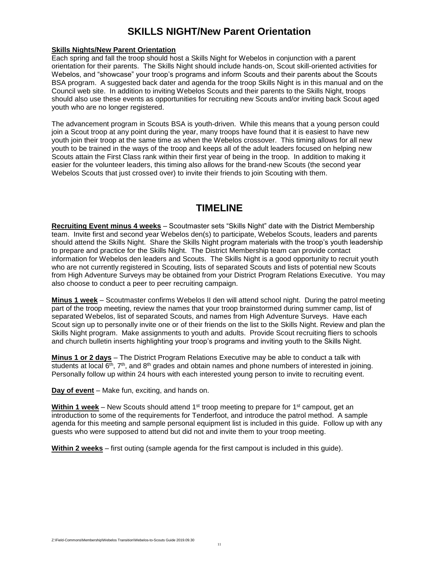### **SKILLS NIGHT/New Parent Orientation**

### **Skills Nights/New Parent Orientation**

Each spring and fall the troop should host a Skills Night for Webelos in conjunction with a parent orientation for their parents. The Skills Night should include hands-on, Scout skill-oriented activities for Webelos, and "showcase" your troop's programs and inform Scouts and their parents about the Scouts BSA program. A suggested back dater and agenda for the troop Skills Night is in this manual and on the Council web site. In addition to inviting Webelos Scouts and their parents to the Skills Night, troops should also use these events as opportunities for recruiting new Scouts and/or inviting back Scout aged youth who are no longer registered.

The advancement program in Scouts BSA is youth-driven. While this means that a young person could join a Scout troop at any point during the year, many troops have found that it is easiest to have new youth join their troop at the same time as when the Webelos crossover. This timing allows for all new youth to be trained in the ways of the troop and keeps all of the adult leaders focused on helping new Scouts attain the First Class rank within their first year of being in the troop. In addition to making it easier for the volunteer leaders, this timing also allows for the brand-new Scouts (the second year Webelos Scouts that just crossed over) to invite their friends to join Scouting with them.

### **TIMELINE**

**Recruiting Event minus 4 weeks** – Scoutmaster sets "Skills Night" date with the District Membership team. Invite first and second year Webelos den(s) to participate, Webelos Scouts, leaders and parents should attend the Skills Night. Share the Skills Night program materials with the troop's youth leadership to prepare and practice for the Skills Night. The District Membership team can provide contact information for Webelos den leaders and Scouts. The Skills Night is a good opportunity to recruit youth who are not currently registered in Scouting, lists of separated Scouts and lists of potential new Scouts from High Adventure Surveys may be obtained from your District Program Relations Executive. You may also choose to conduct a peer to peer recruiting campaign.

**Minus 1 week** – Scoutmaster confirms Webelos II den will attend school night. During the patrol meeting part of the troop meeting, review the names that your troop brainstormed during summer camp, list of separated Webelos, list of separated Scouts, and names from High Adventure Surveys. Have each Scout sign up to personally invite one or of their friends on the list to the Skills Night. Review and plan the Skills Night program. Make assignments to youth and adults. Provide Scout recruiting fliers to schools and church bulletin inserts highlighting your troop's programs and inviting youth to the Skills Night.

**Minus 1 or 2 days** – The District Program Relations Executive may be able to conduct a talk with students at local  $6<sup>th</sup>$ ,  $7<sup>th</sup>$ , and  $8<sup>th</sup>$  grades and obtain names and phone numbers of interested in joining. Personally follow up within 24 hours with each interested young person to invite to recruiting event.

**Day of event** – Make fun, exciting, and hands on.

**Within 1 week** – New Scouts should attend 1<sup>st</sup> troop meeting to prepare for 1<sup>st</sup> campout, get an introduction to some of the requirements for Tenderfoot, and introduce the patrol method. A sample agenda for this meeting and sample personal equipment list is included in this guide. Follow up with any guests who were supposed to attend but did not and invite them to your troop meeting.

**Within 2 weeks** – first outing (sample agenda for the first campout is included in this guide).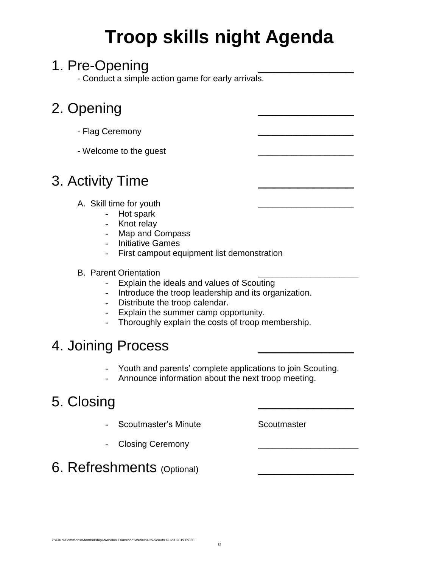# **Troop skills night Agenda**

# 1. Pre-Opening

- Conduct a simple action game for early arrivals.

# 2. Opening

- Flag Ceremony
- Welcome to the guest

# 3. Activity Time

- A. Skill time for youth
	- Hot spark
	- Knot relay
	- Map and Compass
	- Initiative Games
	- First campout equipment list demonstration
- B. Parent Orientation
	- Explain the ideals and values of Scouting
	- Introduce the troop leadership and its organization.
	- Distribute the troop calendar.
	- Explain the summer camp opportunity.
	- Thoroughly explain the costs of troop membership.

# 4. Joining Process

- Youth and parents' complete applications to join Scouting.
- Announce information about the next troop meeting.

# 5. Closing

- Scoutmaster's Minute **Scoutmaster** Scoutmaster
- Closing Ceremony
- 6. Refreshments (Optional)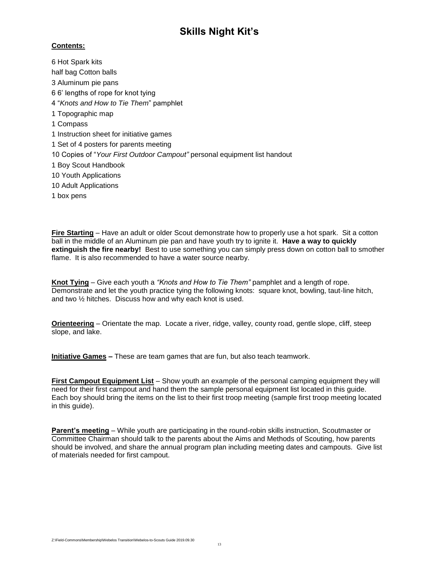### **Skills Night Kit's**

### **Contents:**

6 Hot Spark kits half bag Cotton balls 3 Aluminum pie pans 6 6' lengths of rope for knot tying 4 "*Knots and How to Tie Them*" pamphlet 1 Topographic map 1 Compass 1 Instruction sheet for initiative games 1 Set of 4 posters for parents meeting 10 Copies of "*Your First Outdoor Campout"* personal equipment list handout 1 Boy Scout Handbook 10 Youth Applications 10 Adult Applications 1 box pens

**Fire Starting** – Have an adult or older Scout demonstrate how to properly use a hot spark. Sit a cotton ball in the middle of an Aluminum pie pan and have youth try to ignite it. **Have a way to quickly extinguish the fire nearby!** Best to use something you can simply press down on cotton ball to smother flame. It is also recommended to have a water source nearby.

**Knot Tying** – Give each youth a *"Knots and How to Tie Them"* pamphlet and a length of rope. Demonstrate and let the youth practice tying the following knots: square knot, bowling, taut-line hitch, and two ½ hitches. Discuss how and why each knot is used.

**Orienteering** – Orientate the map. Locate a river, ridge, valley, county road, gentle slope, cliff, steep slope, and lake.

**Initiative Games –** These are team games that are fun, but also teach teamwork.

**First Campout Equipment List** – Show youth an example of the personal camping equipment they will need for their first campout and hand them the sample personal equipment list located in this guide. Each boy should bring the items on the list to their first troop meeting (sample first troop meeting located in this guide).

**Parent's meeting** – While youth are participating in the round-robin skills instruction, Scoutmaster or Committee Chairman should talk to the parents about the Aims and Methods of Scouting, how parents should be involved, and share the annual program plan including meeting dates and campouts. Give list of materials needed for first campout.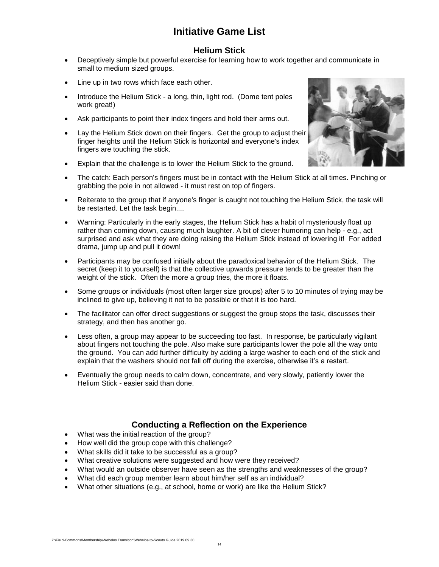### **Initiative Game List**

### **Helium Stick**

- Deceptively simple but powerful exercise for learning how to work together and communicate in small to medium sized groups.
- Line up in two rows which face each other.
- Introduce the Helium Stick a long, thin, light rod. (Dome tent poles work great!)
- Ask participants to point their index fingers and hold their arms out.
- Lay the Helium Stick down on their fingers. Get the group to adjust their finger heights until the Helium Stick is horizontal and everyone's index fingers are touching the stick.



- The catch: Each person's fingers must be in contact with the Helium Stick at all times. Pinching or grabbing the pole in not allowed - it must rest on top of fingers.
- Reiterate to the group that if anyone's finger is caught not touching the Helium Stick, the task will be restarted. Let the task begin....
- Warning: Particularly in the early stages, the Helium Stick has a habit of mysteriously float up rather than coming down, causing much laughter. A bit of clever humoring can help - e.g., act surprised and ask what they are doing raising the Helium Stick instead of lowering it! For added drama, jump up and pull it down!
- Participants may be confused initially about the paradoxical behavior of the Helium Stick. The secret (keep it to yourself) is that the collective upwards pressure tends to be greater than the weight of the stick. Often the more a group tries, the more it floats.
- Some groups or individuals (most often larger size groups) after 5 to 10 minutes of trying may be inclined to give up, believing it not to be possible or that it is too hard.
- The facilitator can offer direct suggestions or suggest the group stops the task, discusses their strategy, and then has another go.
- Less often, a group may appear to be succeeding too fast. In response, be particularly vigilant about fingers not touching the pole. Also make sure participants lower the pole all the way onto the ground. You can add further difficulty by adding a large washer to each end of the stick and explain that the washers should not fall off during the exercise, otherwise it's a restart.
- Eventually the group needs to calm down, concentrate, and very slowly, patiently lower the Helium Stick - easier said than done.

### **Conducting a Reflection on the Experience**

- What was the initial reaction of the group?
- How well did the group cope with this challenge?
- What skills did it take to be successful as a group?
- What creative solutions were suggested and how were they received?
- What would an outside observer have seen as the strengths and weaknesses of the group?
- What did each group member learn about him/her self as an individual?
- What other situations (e.g., at school, home or work) are like the Helium Stick?

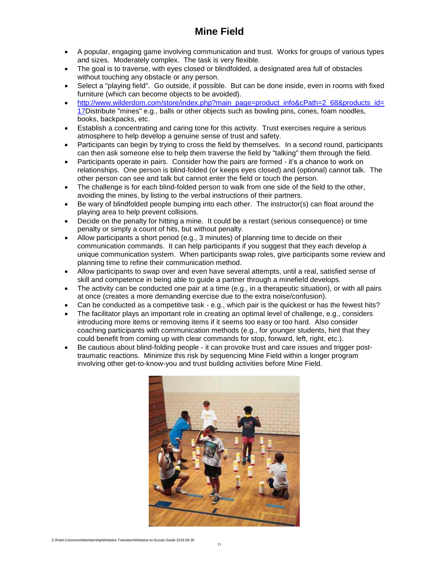### **Mine Field**

- A popular, engaging game involving communication and trust. Works for groups of various types and sizes. Moderately complex. The task is very flexible.
- The goal is to traverse, with eyes closed or blindfolded, a designated area full of obstacles without touching any obstacle or any person.
- Select a "playing field". Go outside, if possible. But can be done inside, even in rooms with fixed furniture (which can become objects to be avoided).
- [http://www.wilderdom.com/store/index.php?main\\_page=product\\_info&cPath=2\\_68&products\\_id=](http://www.wilderdom.com/store/index.php?main_page=product_info&cPath=2_68&products_id=17) [17D](http://www.wilderdom.com/store/index.php?main_page=product_info&cPath=2_68&products_id=17)istribute "mines" e.g., balls or other objects such as bowling pins, cones, foam noodles, books, backpacks, etc.
- Establish a concentrating and caring tone for this activity. Trust exercises require a serious atmosphere to help develop a genuine sense of trust and safety.
- Participants can begin by trying to cross the field by themselves. In a second round, participants can then ask someone else to help them traverse the field by "talking" them through the field.
- Participants operate in pairs. Consider how the pairs are formed it's a chance to work on relationships. One person is blind-folded (or keeps eyes closed) and (optional) cannot talk. The other person can see and talk but cannot enter the field or touch the person.
- The challenge is for each blind-folded person to walk from one side of the field to the other, avoiding the mines, by listing to the verbal instructions of their partners.
- Be wary of blindfolded people bumping into each other. The instructor(s) can float around the playing area to help prevent collisions.
- Decide on the penalty for hitting a mine. It could be a restart (serious consequence) or time penalty or simply a count of hits, but without penalty.
- Allow participants a short period (e.g., 3 minutes) of planning time to decide on their communication commands. It can help participants if you suggest that they each develop a unique communication system. When participants swap roles, give participants some review and planning time to refine their communication method.
- Allow participants to swap over and even have several attempts, until a real, satisfied sense of skill and competence in being able to guide a partner through a minefield develops.
- The activity can be conducted one pair at a time (e.g., in a therapeutic situation), or with all pairs at once (creates a more demanding exercise due to the extra noise/confusion).
- Can be conducted as a competitive task e.g., which pair is the quickest or has the fewest hits?
- The facilitator plays an important role in creating an optimal level of challenge, e.g., considers introducing more items or removing items if it seems too easy or too hard. Also consider coaching participants with communication methods (e.g., for younger students, hint that they could benefit from coming up with clear commands for stop, forward, left, right, etc.).
- Be cautious about blind-folding people it can provoke trust and care issues and trigger posttraumatic reactions. Minimize this risk by sequencing Mine Field within a longer program involving other get-to-know-you and trust building activities before Mine Field.

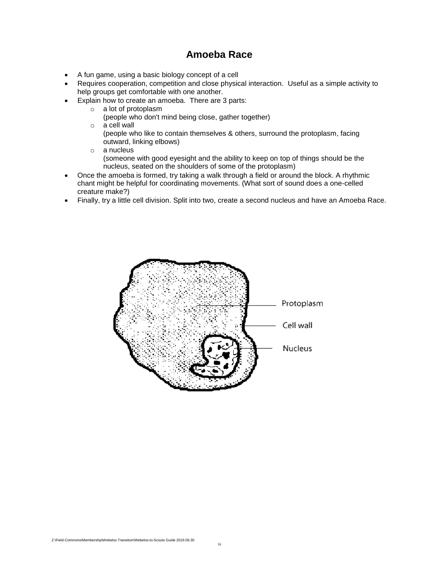### **Amoeba Race**

- A fun game, using a basic biology concept of a cell
- Requires cooperation, competition and close physical interaction. Useful as a simple activity to help groups get comfortable with one another.
- Explain how to create an amoeba. There are 3 parts:
	- o a lot of protoplasm
		- (people who don't mind being close, gather together)
	- o a cell wall
		- (people who like to contain themselves & others, surround the protoplasm, facing outward, linking elbows)
	- o a nucleus
		- (someone with good eyesight and the ability to keep on top of things should be the nucleus, seated on the shoulders of some of the protoplasm)
- Once the amoeba is formed, try taking a walk through a field or around the block. A rhythmic chant might be helpful for coordinating movements. (What sort of sound does a one-celled creature make?)
- Finally, try a little cell division. Split into two, create a second nucleus and have an Amoeba Race.

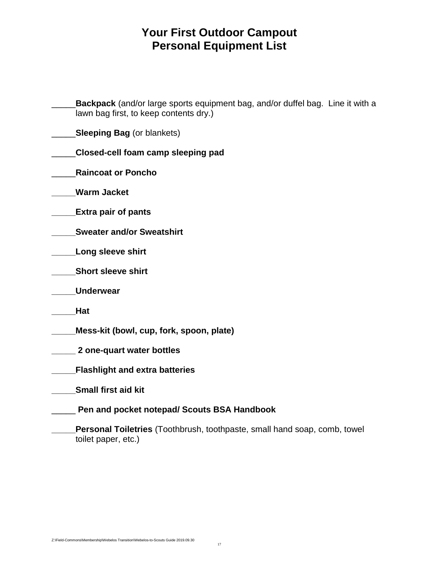# **Your First Outdoor Campout Personal Equipment List**

| <b>Backpack</b> (and/or large sports equipment bag, and/or duffel bag. Line it with a<br>lawn bag first, to keep contents dry.) |  |
|---------------------------------------------------------------------------------------------------------------------------------|--|
| <b>Sleeping Bag (or blankets)</b>                                                                                               |  |
| Closed-cell foam camp sleeping pad                                                                                              |  |
| <b>Raincoat or Poncho</b>                                                                                                       |  |
| <b>Warm Jacket</b>                                                                                                              |  |
| <b>Extra pair of pants</b>                                                                                                      |  |
| <b>Sweater and/or Sweatshirt</b>                                                                                                |  |
| <b>Long sleeve shirt</b>                                                                                                        |  |
| <b>Short sleeve shirt</b>                                                                                                       |  |
| <b>Underwear</b>                                                                                                                |  |
| Hat                                                                                                                             |  |
| Mess-kit (bowl, cup, fork, spoon, plate)                                                                                        |  |
| 2 one-quart water bottles                                                                                                       |  |
| <b>Flashlight and extra batteries</b>                                                                                           |  |
| <b>Small first aid kit</b>                                                                                                      |  |
| Pen and pocket notepad/ Scouts BSA Handbook                                                                                     |  |
| Personal Toiletries (Toothbrush, toothpaste, small hand soap, comb, towel<br>toilet paper, etc.)                                |  |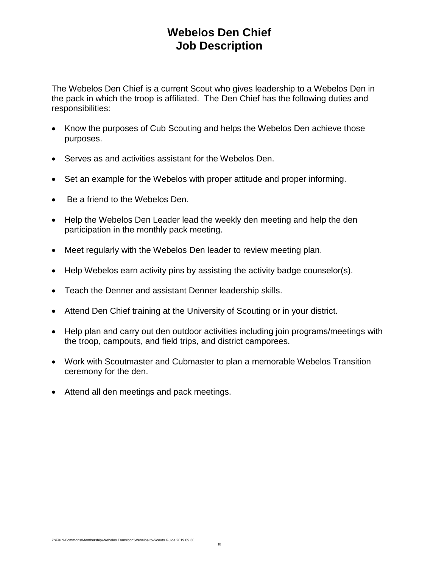## **Webelos Den Chief Job Description**

The Webelos Den Chief is a current Scout who gives leadership to a Webelos Den in the pack in which the troop is affiliated. The Den Chief has the following duties and responsibilities:

- Know the purposes of Cub Scouting and helps the Webelos Den achieve those purposes.
- Serves as and activities assistant for the Webelos Den.
- Set an example for the Webelos with proper attitude and proper informing.
- Be a friend to the Webelos Den.
- Help the Webelos Den Leader lead the weekly den meeting and help the den participation in the monthly pack meeting.
- Meet regularly with the Webelos Den leader to review meeting plan.
- Help Webelos earn activity pins by assisting the activity badge counselor(s).
- Teach the Denner and assistant Denner leadership skills.
- Attend Den Chief training at the University of Scouting or in your district.
- Help plan and carry out den outdoor activities including join programs/meetings with the troop, campouts, and field trips, and district camporees.
- Work with Scoutmaster and Cubmaster to plan a memorable Webelos Transition ceremony for the den.
- Attend all den meetings and pack meetings.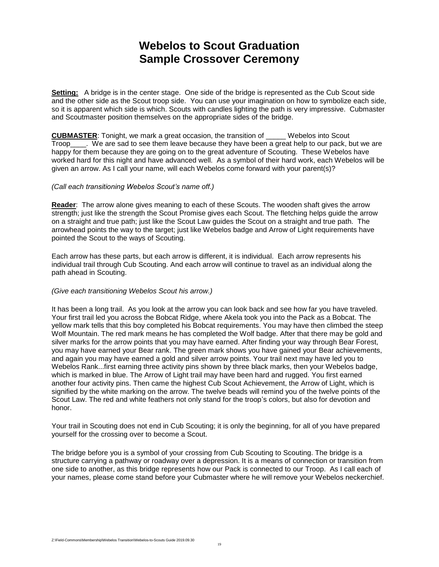# **Webelos to Scout Graduation Sample Crossover Ceremony**

**Setting:** A bridge is in the center stage. One side of the bridge is represented as the Cub Scout side and the other side as the Scout troop side. You can use your imagination on how to symbolize each side, so it is apparent which side is which. Scouts with candles lighting the path is very impressive. Cubmaster and Scoutmaster position themselves on the appropriate sides of the bridge.

**CUBMASTER**: Tonight, we mark a great occasion, the transition of \_\_\_\_\_ Webelos into Scout Troop . We are sad to see them leave because they have been a great help to our pack, but we are happy for them because they are going on to the great adventure of Scouting. These Webelos have worked hard for this night and have advanced well. As a symbol of their hard work, each Webelos will be given an arrow. As I call your name, will each Webelos come forward with your parent(s)?

#### *(Call each transitioning Webelos Scout's name off.)*

**Reader**: The arrow alone gives meaning to each of these Scouts. The wooden shaft gives the arrow strength; just like the strength the Scout Promise gives each Scout. The fletching helps guide the arrow on a straight and true path; just like the Scout Law guides the Scout on a straight and true path. The arrowhead points the way to the target; just like Webelos badge and Arrow of Light requirements have pointed the Scout to the ways of Scouting.

Each arrow has these parts, but each arrow is different, it is individual. Each arrow represents his individual trail through Cub Scouting. And each arrow will continue to travel as an individual along the path ahead in Scouting.

### *(Give each transitioning Webelos Scout his arrow.)*

It has been a long trail. As you look at the arrow you can look back and see how far you have traveled. Your first trail led you across the Bobcat Ridge, where Akela took you into the Pack as a Bobcat. The yellow mark tells that this boy completed his Bobcat requirements. You may have then climbed the steep Wolf Mountain. The red mark means he has completed the Wolf badge. After that there may be gold and silver marks for the arrow points that you may have earned. After finding your way through Bear Forest, you may have earned your Bear rank. The green mark shows you have gained your Bear achievements, and again you may have earned a gold and silver arrow points. Your trail next may have led you to Webelos Rank...first earning three activity pins shown by three black marks, then your Webelos badge, which is marked in blue. The Arrow of Light trail may have been hard and rugged. You first earned another four activity pins. Then came the highest Cub Scout Achievement, the Arrow of Light, which is signified by the white marking on the arrow. The twelve beads will remind you of the twelve points of the Scout Law. The red and white feathers not only stand for the troop's colors, but also for devotion and honor.

Your trail in Scouting does not end in Cub Scouting; it is only the beginning, for all of you have prepared yourself for the crossing over to become a Scout.

The bridge before you is a symbol of your crossing from Cub Scouting to Scouting. The bridge is a structure carrying a pathway or roadway over a depression. It is a means of connection or transition from one side to another, as this bridge represents how our Pack is connected to our Troop. As I call each of your names, please come stand before your Cubmaster where he will remove your Webelos neckerchief.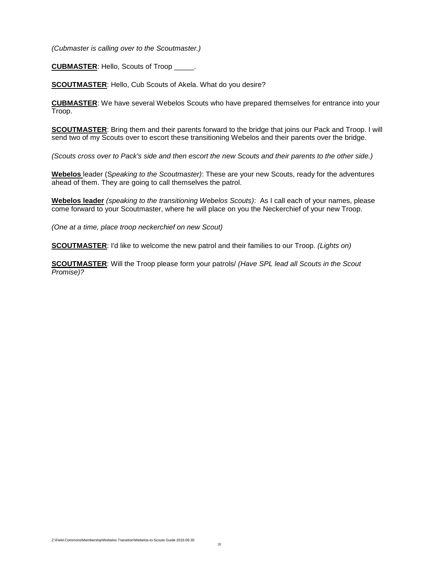*(Cubmaster is calling over to the Scoutmaster.)* 

**CUBMASTER**: Hello, Scouts of Troop \_\_\_\_\_.

**SCOUTMASTER**: Hello, Cub Scouts of Akela. What do you desire?

**CUBMASTER**: We have several Webelos Scouts who have prepared themselves for entrance into your Troop.

**SCOUTMASTER**: Bring them and their parents forward to the bridge that joins our Pack and Troop. I will send two of my Scouts over to escort these transitioning Webelos and their parents over the bridge.

*(Scouts cross over to Pack's side and then escort the new Scouts and their parents to the other side.)* 

**Webelos** leader (S*peaking to the Scoutmaster)*: These are your new Scouts, ready for the adventures ahead of them. They are going to call themselves the patrol.

**Webelos leader** *(speaking to the transitioning Webelos Scouts)*: As I call each of your names, please come forward to your Scoutmaster, where he will place on you the Neckerchief of your new Troop.

*(One at a time, place troop neckerchief on new Scout)*

**SCOUTMASTER**: I'd like to welcome the new patrol and their families to our Troop. *(Lights on)*

**SCOUTMASTER**: Will the Troop please form your patrols/ *(Have SPL lead all Scouts in the Scout Promise)?*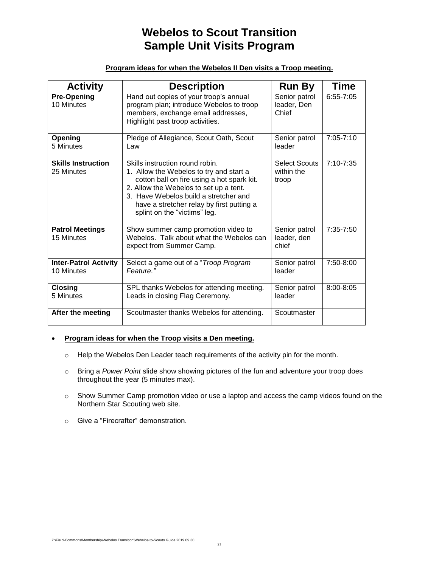# **Webelos to Scout Transition Sample Unit Visits Program**

### **Program ideas for when the Webelos II Den visits a Troop meeting.**

| <b>Activity</b>                            | <b>Description</b>                                                                                                                                                                                                                                                                       | <b>Run By</b>                               | <b>Time</b>   |
|--------------------------------------------|------------------------------------------------------------------------------------------------------------------------------------------------------------------------------------------------------------------------------------------------------------------------------------------|---------------------------------------------|---------------|
| <b>Pre-Opening</b><br>10 Minutes           | Hand out copies of your troop's annual<br>program plan; introduce Webelos to troop<br>members, exchange email addresses,<br>Highlight past troop activities.                                                                                                                             | Senior patrol<br>leader, Den<br>Chief       | $6:55 - 7:05$ |
| Opening<br>5 Minutes                       | Pledge of Allegiance, Scout Oath, Scout<br>Law                                                                                                                                                                                                                                           | Senior patrol<br>leader                     | $7:05 - 7:10$ |
| <b>Skills Instruction</b><br>25 Minutes    | Skills instruction round robin.<br>1. Allow the Webelos to try and start a<br>cotton ball on fire using a hot spark kit.<br>2. Allow the Webelos to set up a tent.<br>3. Have Webelos build a stretcher and<br>have a stretcher relay by first putting a<br>splint on the "victims" leg. | <b>Select Scouts</b><br>within the<br>troop | $7:10 - 7:35$ |
| <b>Patrol Meetings</b><br>15 Minutes       | Show summer camp promotion video to<br>Webelos. Talk about what the Webelos can<br>expect from Summer Camp.                                                                                                                                                                              | Senior patrol<br>leader, den<br>chief       | $7:35 - 7:50$ |
| <b>Inter-Patrol Activity</b><br>10 Minutes | Select a game out of a "Troop Program<br>Feature."                                                                                                                                                                                                                                       | Senior patrol<br>leader                     | 7:50-8:00     |
| <b>Closing</b><br>5 Minutes                | SPL thanks Webelos for attending meeting.<br>Leads in closing Flag Ceremony.                                                                                                                                                                                                             | Senior patrol<br>leader                     | $8:00 - 8:05$ |
| After the meeting                          | Scoutmaster thanks Webelos for attending.                                                                                                                                                                                                                                                | Scoutmaster                                 |               |

### • **Program ideas for when the Troop visits a Den meeting.**

- o Help the Webelos Den Leader teach requirements of the activity pin for the month.
- o Bring a *Power Point* slide show showing pictures of the fun and adventure your troop does throughout the year (5 minutes max).
- o Show Summer Camp promotion video or use a laptop and access the camp videos found on the Northern Star Scouting web site.
- o Give a "Firecrafter" demonstration.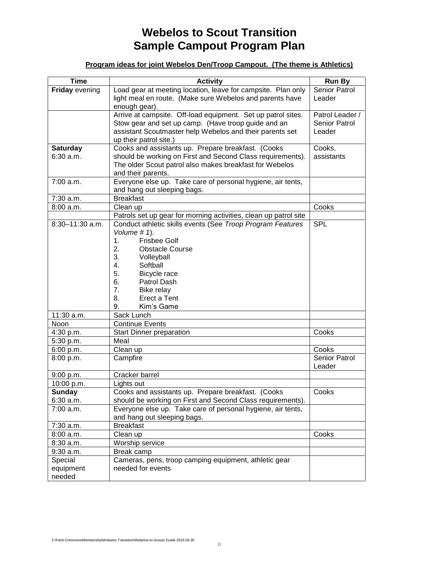# **Webelos to Scout Transition Sample Campout Program Plan**

### **Program ideas for joint Webelos Den/Troop Campout. (The theme is Athletics)**

| <b>Time</b>                 | <b>Activity</b>                                                                                                  | <b>Run By</b>   |
|-----------------------------|------------------------------------------------------------------------------------------------------------------|-----------------|
| <b>Friday evening</b>       | Load gear at meeting location, leave for campsite. Plan only                                                     | Senior Patrol   |
|                             | light meal en route. (Make sure Webelos and parents have<br>enough gear).                                        | Leader          |
|                             | Arrive at campsite. Off-load equipment. Set up patrol sites.                                                     | Patrol Leader / |
|                             | Stow gear and set up camp. (Have troop guide and an                                                              | Senior Patrol   |
|                             | assistant Scoutmaster help Webelos and their parents set                                                         | Leader          |
|                             | up their patrol site.)                                                                                           |                 |
| <b>Saturday</b>             | Cooks and assistants up. Prepare breakfast. (Cooks                                                               | Cooks,          |
| 6:30 a.m.                   | should be working on First and Second Class requirements).                                                       | assistants      |
|                             | The older Scout patrol also makes breakfast for Webelos                                                          |                 |
|                             | and their parents.                                                                                               |                 |
| 7:00 a.m.                   | Everyone else up. Take care of personal hygiene, air tents,                                                      |                 |
|                             | and hang out sleeping bags.<br><b>Breakfast</b>                                                                  |                 |
| 7:30 a.m.<br>8:00 a.m.      |                                                                                                                  |                 |
|                             | Clean up<br>Patrols set up gear for morning activities, clean up patrol site                                     | Cooks           |
| 8:30-11:30 a.m.             | Conduct athletic skills events (See Troop Program Features                                                       | <b>SPL</b>      |
|                             | Volume # 1).                                                                                                     |                 |
|                             | <b>Frisbee Golf</b><br>1.                                                                                        |                 |
|                             | 2.<br><b>Obstacle Course</b>                                                                                     |                 |
|                             | 3.<br>Volleyball                                                                                                 |                 |
|                             | Softball<br>4.                                                                                                   |                 |
|                             | 5.<br>Bicycle race                                                                                               |                 |
|                             | Patrol Dash<br>6.                                                                                                |                 |
|                             | 7.<br>Bike relay                                                                                                 |                 |
|                             | 8.<br>Erect a Tent                                                                                               |                 |
|                             | 9.<br>Kim's Game                                                                                                 |                 |
| 11:30 a.m.                  | Sack Lunch                                                                                                       |                 |
| Noon                        | <b>Continue Events</b>                                                                                           |                 |
| 4:30 p.m.                   | <b>Start Dinner preparation</b>                                                                                  | Cooks           |
| 5:30 p.m.                   | Meal                                                                                                             |                 |
| 6:00 p.m.                   | Clean up                                                                                                         | Cooks           |
| 8:00 p.m.                   | Campfire                                                                                                         | Senior Patrol   |
|                             |                                                                                                                  | Leader          |
| 9:00 p.m.                   | Cracker barrel                                                                                                   |                 |
| 10:00 p.m.<br><b>Sunday</b> | Lights out                                                                                                       |                 |
| 6:30 a.m.                   | Cooks and assistants up. Prepare breakfast. (Cooks<br>should be working on First and Second Class requirements). | Cooks           |
| 7:00 a.m.                   | Everyone else up. Take care of personal hygiene, air tents,                                                      |                 |
|                             | and hang out sleeping bags.                                                                                      |                 |
| 7:30 a.m.                   | <b>Breakfast</b>                                                                                                 |                 |
| 8:00 a.m.                   | Clean up                                                                                                         | Cooks           |
| 8:30 a.m.                   | Worship service                                                                                                  |                 |
| $9:30$ a.m.                 | Break camp                                                                                                       |                 |
| Special                     | Cameras, pens, troop camping equipment, athletic gear                                                            |                 |
| equipment                   | needed for events                                                                                                |                 |
| needed                      |                                                                                                                  |                 |